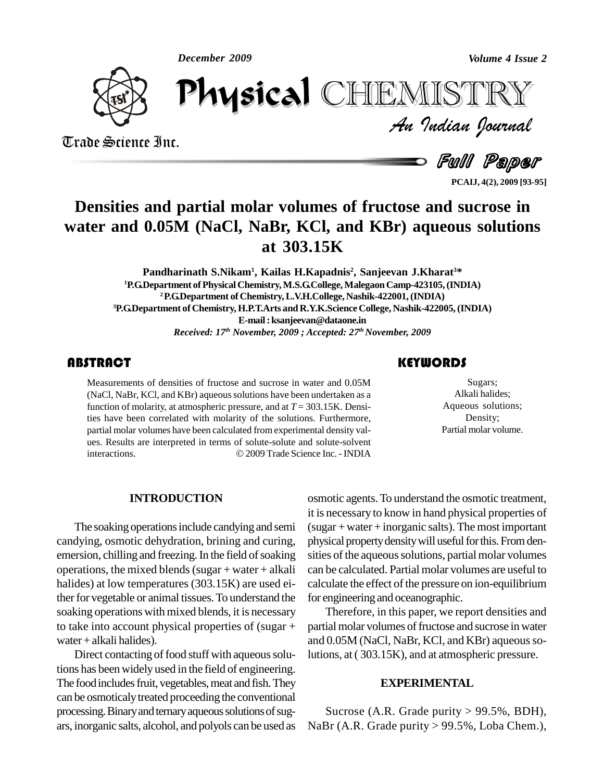*December 2009*



Trade Science Inc. Trade Science Inc.

*Volume 4 Issue 2*<br>IISTRY<br>Indian Iournal December 2009<br> **Physical** CHEMISTRY

s Full Paper

**PCAIJ, 4(2), 2009 [93-95]**

## **Densities and partial molar volumes of fructose and sucrose in water and 0.05M (NaCl, NaBr, KCl, and KBr) aqueous solutions at 303.15K**

**Pandharinath S.Nikam<sup>1</sup> , Kailas H.Kapadnis 2 , Sanjeevan J.Kharat <sup>3</sup>\* <sup>1</sup>P.G.Department ofPhysicalChemistry,M.S.G.College,MalegaonCamp-423105,(INDIA) <sup>2</sup>P.G.Department of Chemistry,L.V.H.College, Nashik-422001,(INDIA) <sup>3</sup>P.G.Department of Chemistry, H.P.T.Arts and R.Y.K.Science College, Nashik-422005,(INDIA) E-mail:[ksanjeevan@dataone.in](mailto:ksanjeevan@dataone.in)** *Received: 17 th November, 2009 ; Accepted: 27 th November, 2009*

Measurements of densities of fructose and sucrose in water and  $0.05M$  (NaCl, NaBr, KCl, and KBr) aqueous solutions have been undertaken as a function of molarity, at atmospheric pressure, and at  $T = 303.15K$ . Densi-Measurements of densities of fructose and sucrose in water and 0.05M (NaCl, NaBr, KCl, and KBr) aqueous solutions have been undertaken as a ties have been correlated with molarity of the solutions. Furthermore, partial molar volumes have been calculated from experimental density values.<br>Results are interpreted in terms of solute-solute and solute-solvent<br>interactions. © 2009 Trade Science Inc. - INDIA ues. Results are interpreted in terms of solute-solute and solute-solvent

### **KEYWORDS**

Sugars;<br>
Alkali halides;<br>
Aqueous solutions; Sugars; Alkali halides; Density; Partial molar volume.

### **INTRODUCTION**

The soaking operations include candying and semi candying, osmotic dehydration, brining and curing, emersion, chilling and freezing. In the field of soaking operations, the mixed blends (sugar  $+$  water  $+$  alkali halides) at low temperatures (303.15K) are used either for vegetable or animal tissues. To understand the soaking operations with mixed blends, it is necessary to take into account physical properties of (sugar + water +alkali halides).

Direct contacting of food stuff with aqueous solutions has been widely used in the field of engineering. The food includes fruit, vegetables, meat and fish. They can be osmoticaly treated proceeding the conventional processing. Binary and ternary aqueous solutions of sugars, inorganic salts, alcohol, and polyols can be used as osmotic agents.To understand the osmotic treatment, it is necessary to know in hand physical properties of  $(sugar + water + inorganic salts)$ . The most important physical property density will useful for this. From densities of the aqueous solutions, partial molar volumes can be calculated. Partial molar volumes are useful to calculate the effect of the pressure on ion-equilibrium for engineering and oceanographic.

Therefore, in this paper, we report densities and partial molar volumes of fructose and sucrose in water and 0.05M (NaCl, NaBr, KCl, and KBr) aqueous solutions, at( 303.15K), and at atmospheric pressure.

#### **EXPERIMENTAL**

Sucrose (A.R. Grade purity  $> 99.5\%$ , BDH), NaBr (A.R. Grade purity > 99.5%, Loba Chem.),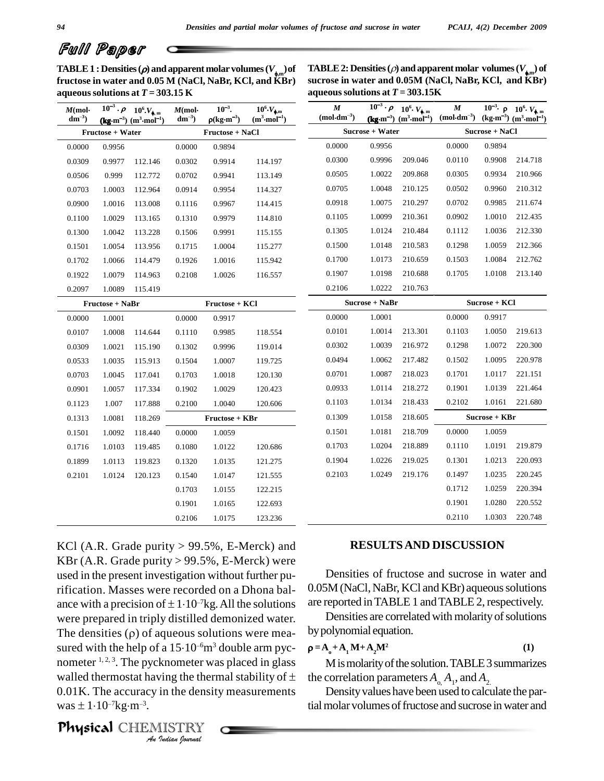# Full Paper

**TABLE 1 : Densities (***\rho* $) and apparent molar volumes ( $V_{\phi,m}$ **) of**  $\Gamma$  **TA**$ **fructose in water and 0.05 M (NaCl, NaBr, KCl, and KBr)**

<code>TABLE 2: Densities ( $\rho$ ) and apparent molar  $\text{ volumes}\left(V_{_{\bigstar\!,m}}\right)$  of</code> **sucrose in water and 0.05M (NaCl, NaBr, KCl, and KBr) a** queous solutions at  $T = 303.15 \text{K}$  $\frac{1}{10^6}$ . V.

|                        |                  | aqueous solutions at $T = 303.15$ K                                                                     |                                 |                                                    |                                                    | aqueous solutions at $T = 303.15$ K                        |                  |                                                                                          |                                       |                |                                                                                                              |
|------------------------|------------------|---------------------------------------------------------------------------------------------------------|---------------------------------|----------------------------------------------------|----------------------------------------------------|------------------------------------------------------------|------------------|------------------------------------------------------------------------------------------|---------------------------------------|----------------|--------------------------------------------------------------------------------------------------------------|
| $M$ (mol·<br>$dm^{-3}$ |                  | $\overline{10^{-3}} \cdot \rho$ $10^{6} V_{\phi,m}$<br>$(\text{kg}\cdot m^{-3})$ $(m^3 \cdot mol^{-1})$ | $M$ (mol $\cdot$<br>$dm^{-3}$ ) | $10^{-3}$ .<br>$\rho(\text{kg}\cdot\text{m}^{-3})$ | $10^6$ · $V_{\bullet,m}$<br>$(m^3 \cdot mol^{-1})$ | $\pmb{M}$<br>$(\mathbf{mol}\!\cdot\!\mathbf{dm}^{\!-\!3})$ |                  | $\overline{10^{-3}}$ · $\rho$ 10 <sup>6</sup> · $V_{\phi, m}$<br>$(kg·m-3)$ $(m3 mol-1)$ | $\pmb{M}$<br>$(mod \mathbf{dm}^{-3})$ |                | $10^{-3}$ $\rho$ $10^{6}$ $V_{\phi,m}$<br>$(\text{kg}\cdot\text{m}^{-3})$ $(\text{m}^3\cdot\text{mol}^{-1})$ |
|                        | Fructose + Water |                                                                                                         |                                 | Fructose + NaCl                                    |                                                    |                                                            | Sucrose + Water  |                                                                                          |                                       | Sucrose + NaCl |                                                                                                              |
| 0.0000                 | 0.9956           |                                                                                                         | 0.0000                          | 0.9894                                             |                                                    | 0.0000                                                     | 0.9956           |                                                                                          | 0.0000                                | 0.9894         |                                                                                                              |
| 0.0309                 | 0.9977           | 112.146                                                                                                 | 0.0302                          | 0.9914                                             | 114.197                                            | 0.0300                                                     | 0.9996           | 209.046                                                                                  | 0.0110                                | 0.9908         | 214.718                                                                                                      |
| 0.0506                 | 0.999            | 112.772                                                                                                 | 0.0702                          | 0.9941                                             | 113.149                                            | 0.0505                                                     | 1.0022           | 209.868                                                                                  | 0.0305                                | 0.9934         | 210.966                                                                                                      |
| 0.0703                 | 1.0003           | 112.964                                                                                                 | 0.0914                          | 0.9954                                             | 114.327                                            | 0.0705                                                     | 1.0048           | 210.125                                                                                  | 0.0502                                | 0.9960         | 210.312                                                                                                      |
| 0.0900                 | 1.0016           | 113.008                                                                                                 | 0.1116                          | 0.9967                                             | 114.415                                            | 0.0918                                                     | 1.0075           | 210.297                                                                                  | 0.0702                                | 0.9985         | 211.674                                                                                                      |
| 0.1100                 | 1.0029           | 113.165                                                                                                 | 0.1310                          | 0.9979                                             | 114.810                                            | 0.1105                                                     | 1.0099           | 210.361                                                                                  | 0.0902                                | 1.0010         | 212.435                                                                                                      |
| 0.1300                 | 1.0042           | 113.228                                                                                                 | 0.1506                          | 0.9991                                             | 115.155                                            | 0.1305                                                     | 1.0124           | 210.484                                                                                  | 0.1112                                | 1.0036         | 212.330                                                                                                      |
| 0.1501                 | 1.0054           | 113.956                                                                                                 | 0.1715                          | 1.0004                                             | 115.277                                            | 0.1500                                                     | 1.0148           | 210.583                                                                                  | 0.1298                                | 1.0059         | 212.366                                                                                                      |
| 0.1702                 | 1.0066           | 114.479                                                                                                 | 0.1926                          | 1.0016                                             | 115.942                                            | 0.1700                                                     | 1.0173           | 210.659                                                                                  | 0.1503                                | 1.0084         | 212.762                                                                                                      |
| 0.1922                 | 1.0079           | 114.963                                                                                                 | 0.2108                          | 1.0026                                             | 116.557                                            | 0.1907                                                     | 1.0198           | 210.688                                                                                  | 0.1705                                | 1.0108         | 213.140                                                                                                      |
| 0.2097                 | 1.0089           | 115.419                                                                                                 |                                 |                                                    |                                                    | 0.2106                                                     | 1.0222           | 210.763                                                                                  |                                       |                |                                                                                                              |
|                        | Fructose + NaBr  |                                                                                                         |                                 | Fructose + KCl                                     |                                                    |                                                            | $Sucrose + NaBr$ |                                                                                          |                                       | Sucrose + KCl  |                                                                                                              |
| 0.0000                 | 1.0001           |                                                                                                         | 0.0000                          | 0.9917                                             |                                                    | 0.0000                                                     | 1.0001           |                                                                                          | 0.0000                                | 0.9917         |                                                                                                              |
| 0.0107                 | 1.0008           | 114.644                                                                                                 | 0.1110                          | 0.9985                                             | 118.554                                            | 0.0101                                                     | 1.0014           | 213.301                                                                                  | 0.1103                                | 1.0050         | 219.613                                                                                                      |
| 0.0309                 | 1.0021           | 115.190                                                                                                 | 0.1302                          | 0.9996                                             | 119.014                                            | 0.0302                                                     | 1.0039           | 216.972                                                                                  | 0.1298                                | 1.0072         | 220.300                                                                                                      |
| 0.0533                 | 1.0035           | 115.913                                                                                                 | 0.1504                          | 1.0007                                             | 119.725                                            | 0.0494                                                     | 1.0062           | 217.482                                                                                  | 0.1502                                | 1.0095         | 220.978                                                                                                      |
| 0.0703                 | 1.0045           | 117.041                                                                                                 | 0.1703                          | 1.0018                                             | 120.130                                            | 0.0701                                                     | 1.0087           | 218.023                                                                                  | 0.1701                                | 1.0117         | 221.151                                                                                                      |
| 0.0901                 | 1.0057           | 117.334                                                                                                 | 0.1902                          | 1.0029                                             | 120.423                                            | 0.0933                                                     | 1.0114           | 218.272                                                                                  | 0.1901                                | 1.0139         | 221.464                                                                                                      |
| 0.1123                 | 1.007            | 117.888                                                                                                 | 0.2100                          | 1.0040                                             | 120.606                                            | 0.1103                                                     | 1.0134           | 218.433                                                                                  | 0.2102                                | 1.0161         | 221.680                                                                                                      |
| 0.1313                 | 1.0081           | 118.269                                                                                                 |                                 | Fructose + KBr                                     |                                                    | 0.1309                                                     | 1.0158           | 218.605                                                                                  |                                       | Sucrose + KBr  |                                                                                                              |
| 0.1501                 | 1.0092           | 118.440                                                                                                 | 0.0000                          | 1.0059                                             |                                                    | 0.1501                                                     | 1.0181           | 218.709                                                                                  | 0.0000                                | 1.0059         |                                                                                                              |
| 0.1716                 | 1.0103           | 119.485                                                                                                 | 0.1080                          | 1.0122                                             | 120.686                                            | 0.1703                                                     | 1.0204           | 218.889                                                                                  | 0.1110                                | 1.0191         | 219.879                                                                                                      |
| 0.1899                 | 1.0113           | 119.823                                                                                                 | 0.1320                          | 1.0135                                             | 121.275                                            | 0.1904                                                     | 1.0226           | 219.025                                                                                  | 0.1301                                | 1.0213         | 220.093                                                                                                      |
| 0.2101                 | 1.0124           | 120.123                                                                                                 | 0.1540                          | 1.0147                                             | 121.555                                            | 0.2103                                                     | 1.0249           | 219.176                                                                                  | 0.1497                                | 1.0235         | 220.245                                                                                                      |
|                        |                  |                                                                                                         | 0.1703                          | 1.0155                                             | 122.215                                            |                                                            |                  |                                                                                          | 0.1712                                | 1.0259         | 220.394                                                                                                      |
|                        |                  |                                                                                                         | 0.1901                          | 1.0165                                             | 122.693                                            |                                                            |                  |                                                                                          | 0.1901                                | 1.0280         | 220.552                                                                                                      |
|                        |                  |                                                                                                         | 0.2106                          | 1.0175                                             | 123.236                                            |                                                            |                  |                                                                                          | 0.2110                                | 1.0303         | 220.748                                                                                                      |

nometer <sup>1, 2, 3</sup>. The pycknometer was placed in glass *I*<br>*Indian In the densit*<br>*IISTRY*<br>*Indian fournal* KCl (A.R. Grade purity  $> 99.5\%$ , E-Merck) and KBr (A.R. Grade purity  $> 99.5\%$ , E-Merck) were used in the present investigation without further purification. Masses were recorded on a Dhona bal used in the present investigation without further pu-<br>rification. Masses were recorded on a Dhona bal-<br>ance with a precision of  $\pm 1.10^{-7}$ kg. All the solutions are re were prepared in triply distilled demonized water. ance with a precision of  $\pm 1.10^{-7}$ kg. All the solutions are were prepared in triply distilled demonized water.<br>The densities ( $\rho$ ) of aqueous solutions were mea- by p were prepared in triply distilled demonized water. De<br>The densities ( $\rho$ ) of aqueous solutions were mea-<br>sured with the help of a 15·10<sup>-6</sup>m<sup>3</sup> double arm pyc-<br> $\rho = A_0 + B_1$ The densities  $(\rho)$  of aqueous solutions were measured with the help of a 15.10<sup>-6</sup>m<sup>3</sup> double arm pyc-<br>nometer <sup>1, 2, 3</sup>. The pycknometer was placed in glass M is<br>walled thermostat having the thermal stability of  $\pm$  the corr 0.01K. The accuracy in the density measurements walled thermostat havin<br>0.01K. The accuracy in<br>was  $\pm 1.10^{-7}$ kg·m<sup>-3</sup>. was  $\pm 1.10^{-7}$ kg·m<sup>-3</sup>.

**RESULTSAND DISCUSSION**

Densities of fructose and sucrose in water and 0.05M (NaCl, NaBr, KCl and KBr) aqueous solutions are reported in TABLE 1 and TABLE 2, respectively.

Densities are correlated with molarity of solutions bypolynomial equation.

$$
\rho = A_0 + A_1 M + A_2 M^2 \tag{1}
$$

M is molarity of the solution. TABLE 3 summarizes the correlation parameters  $A_0$ ,  $A_1$ , and  $A_2$ 

Density values have been used to calculate the partial molar volumes of fructose and sucrose in water and

Physical CHEMISTRY